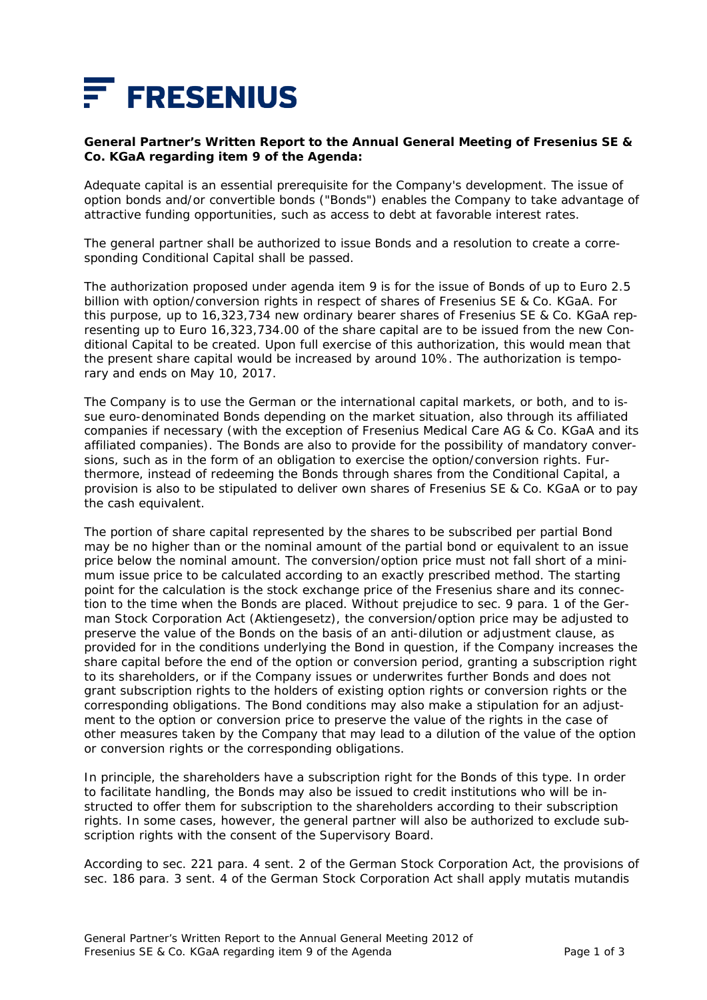

## **General Partner's Written Report to the Annual General Meeting of Fresenius SE & Co. KGaA regarding item 9 of the Agenda:**

Adequate capital is an essential prerequisite for the Company's development. The issue of option bonds and/or convertible bonds ("Bonds") enables the Company to take advantage of attractive funding opportunities, such as access to debt at favorable interest rates.

The general partner shall be authorized to issue Bonds and a resolution to create a corresponding Conditional Capital shall be passed.

The authorization proposed under agenda item 9 is for the issue of Bonds of up to Euro 2.5 billion with option/conversion rights in respect of shares of Fresenius SE & Co. KGaA. For this purpose, up to 16,323,734 new ordinary bearer shares of Fresenius SE & Co. KGaA representing up to Euro 16,323,734.00 of the share capital are to be issued from the new Conditional Capital to be created. Upon full exercise of this authorization, this would mean that the present share capital would be increased by around 10%. The authorization is temporary and ends on May 10, 2017.

The Company is to use the German or the international capital markets, or both, and to issue euro-denominated Bonds depending on the market situation, also through its affiliated companies if necessary (with the exception of Fresenius Medical Care AG & Co. KGaA and its affiliated companies). The Bonds are also to provide for the possibility of mandatory conversions, such as in the form of an obligation to exercise the option/conversion rights. Furthermore, instead of redeeming the Bonds through shares from the Conditional Capital, a provision is also to be stipulated to deliver own shares of Fresenius SE & Co. KGaA or to pay the cash equivalent.

The portion of share capital represented by the shares to be subscribed per partial Bond may be no higher than or the nominal amount of the partial bond or equivalent to an issue price below the nominal amount. The conversion/option price must not fall short of a minimum issue price to be calculated according to an exactly prescribed method. The starting point for the calculation is the stock exchange price of the Fresenius share and its connection to the time when the Bonds are placed. Without prejudice to sec. 9 para. 1 of the German Stock Corporation Act (*Aktiengesetz*), the conversion/option price may be adjusted to preserve the value of the Bonds on the basis of an anti-dilution or adjustment clause, as provided for in the conditions underlying the Bond in question, if the Company increases the share capital before the end of the option or conversion period, granting a subscription right to its shareholders, or if the Company issues or underwrites further Bonds and does not grant subscription rights to the holders of existing option rights or conversion rights or the corresponding obligations. The Bond conditions may also make a stipulation for an adjustment to the option or conversion price to preserve the value of the rights in the case of other measures taken by the Company that may lead to a dilution of the value of the option or conversion rights or the corresponding obligations.

In principle, the shareholders have a subscription right for the Bonds of this type. In order to facilitate handling, the Bonds may also be issued to credit institutions who will be instructed to offer them for subscription to the shareholders according to their subscription rights. In some cases, however, the general partner will also be authorized to exclude subscription rights with the consent of the Supervisory Board.

According to sec. 221 para. 4 sent. 2 of the German Stock Corporation Act, the provisions of sec. 186 para. 3 sent. 4 of the German Stock Corporation Act shall apply mutatis mutandis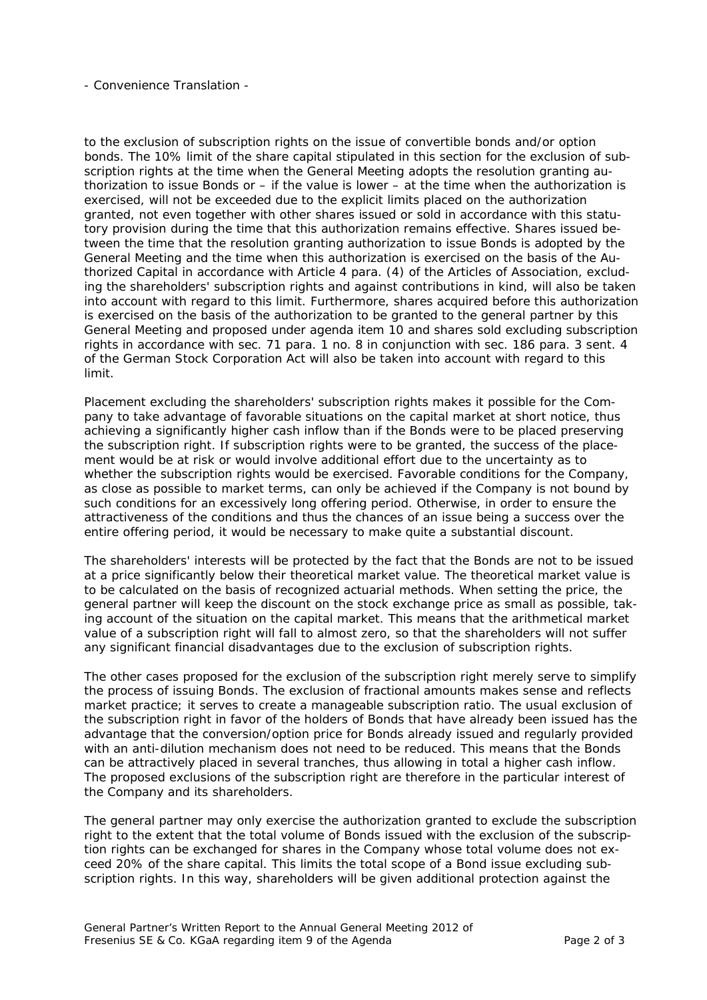- Convenience Translation -

to the exclusion of subscription rights on the issue of convertible bonds and/or option bonds. The 10% limit of the share capital stipulated in this section for the exclusion of subscription rights at the time when the General Meeting adopts the resolution granting authorization to issue Bonds or  $-$  if the value is lower  $-$  at the time when the authorization is exercised, will not be exceeded due to the explicit limits placed on the authorization granted, not even together with other shares issued or sold in accordance with this statutory provision during the time that this authorization remains effective. Shares issued between the time that the resolution granting authorization to issue Bonds is adopted by the General Meeting and the time when this authorization is exercised on the basis of the Authorized Capital in accordance with Article 4 para. (4) of the Articles of Association, excluding the shareholders' subscription rights and against contributions in kind, will also be taken into account with regard to this limit. Furthermore, shares acquired before this authorization is exercised on the basis of the authorization to be granted to the general partner by this General Meeting and proposed under agenda item 10 and shares sold excluding subscription rights in accordance with sec. 71 para. 1 no. 8 in conjunction with sec. 186 para. 3 sent. 4 of the German Stock Corporation Act will also be taken into account with regard to this limit.

Placement excluding the shareholders' subscription rights makes it possible for the Company to take advantage of favorable situations on the capital market at short notice, thus achieving a significantly higher cash inflow than if the Bonds were to be placed preserving the subscription right. If subscription rights were to be granted, the success of the placement would be at risk or would involve additional effort due to the uncertainty as to whether the subscription rights would be exercised. Favorable conditions for the Company, as close as possible to market terms, can only be achieved if the Company is not bound by such conditions for an excessively long offering period. Otherwise, in order to ensure the attractiveness of the conditions and thus the chances of an issue being a success over the entire offering period, it would be necessary to make quite a substantial discount.

The shareholders' interests will be protected by the fact that the Bonds are not to be issued at a price significantly below their theoretical market value. The theoretical market value is to be calculated on the basis of recognized actuarial methods. When setting the price, the general partner will keep the discount on the stock exchange price as small as possible, taking account of the situation on the capital market. This means that the arithmetical market value of a subscription right will fall to almost zero, so that the shareholders will not suffer any significant financial disadvantages due to the exclusion of subscription rights.

The other cases proposed for the exclusion of the subscription right merely serve to simplify the process of issuing Bonds. The exclusion of fractional amounts makes sense and reflects market practice; it serves to create a manageable subscription ratio. The usual exclusion of the subscription right in favor of the holders of Bonds that have already been issued has the advantage that the conversion/option price for Bonds already issued and regularly provided with an anti-dilution mechanism does not need to be reduced. This means that the Bonds can be attractively placed in several tranches, thus allowing in total a higher cash inflow. The proposed exclusions of the subscription right are therefore in the particular interest of the Company and its shareholders.

The general partner may only exercise the authorization granted to exclude the subscription right to the extent that the total volume of Bonds issued with the exclusion of the subscription rights can be exchanged for shares in the Company whose total volume does not exceed 20% of the share capital. This limits the total scope of a Bond issue excluding subscription rights. In this way, shareholders will be given additional protection against the